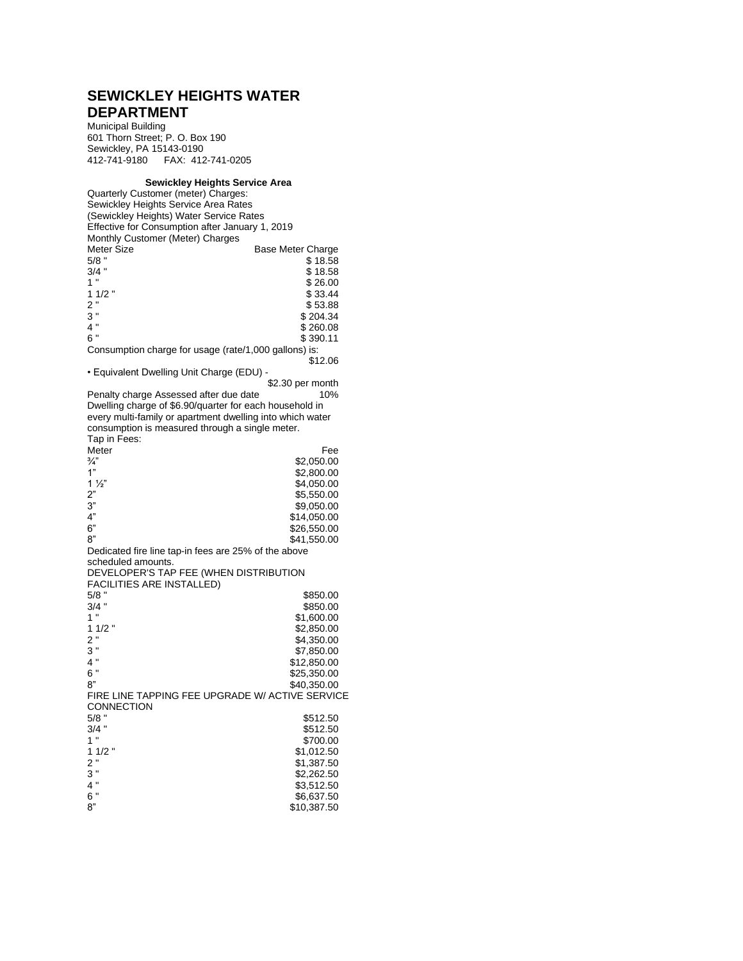## **SEWICKLEY HEIGHTS WATER DEPARTMENT**

Municipal Building 601 Thorn Street; P. O. Box 190 Sewickley, PA 15143-0190 412-741-9180 FAX: 412-741-0205

## **Sewickley Heights Service Area**

Quarterly Customer (meter) Charges: Sewickley Heights Service Area Rates (Sewickley Heights) Water Service Rates Effective for Consumption after January 1, 2019 Monthly Customer (Meter) Charges Meter Size Base Meter Charge<br>5/8 " S 18.58 5/8 " \$ 18.58<br>3/4 " \$ 18.58<br>\$ 18.58  $3/4$  " \$ 18.58<br>1 " \$ 26.00 1 "<br>
1 1/2 "<br>
\$ 33.44<br>
\$ 33.44  $11/2$  "  $$33.44$ <br> $2$  "  $$53.88$ 2 "  $$53.88$ <br>3 "  $$2n424$  $3''$  \$ 204.34<br>4 " \$ 260.08  $4''$ <br>  $6''$ <br>  $8 \cdot 390 \cdot 11$ <br>  $8 \cdot 390 \cdot 11$  $$390.11$ Consumption charge for usage (rate/1,000 gallons) is: \$12.06 • Equivalent Dwelling Unit Charge (EDU) - \$2.30 per month<br>10% Penalty charge Assessed after due date Dwelling charge of \$6.90/quarter for each household in every multi-family or apartment dwelling into which water consumption is measured through a single meter. Tap in Fees: Meter Fee Fee S2,050.00  $\frac{3}{4}$ " \$2,050.00<br>1" \$2,800.00 1" \$2,800.00<br>1  $\frac{1}{2}$ " \$4,050.00 1 <sup>1</sup>/<sub>2</sub>" \$4,050.00<br>2" \$5,550.00 2" \$5,550.00<br>3" \$9,050.00 3" \$9,050.00<br>4" \$14.050.00 4"  $$14,050.00$  6"  $$26,550.00$ 6" \$26,550.00<br>8" \$41.550.00 \$41,550.00 Dedicated fire line tap-in fees are 25% of the above scheduled amounts. DEVELOPER'S TAP FEE (WHEN DISTRIBUTION FACILITIES ARE INSTALLED) 5/8 " \$850.00<br>3/4 " \$850.00<br>\$850.00 \$850.00 1 " \$1,600.00<br>1 1/2 " \$2.850.00 1 1/2 "<br>
2 "<br>
2 "<br>
84.350.00 2 " \$4,350.00<br>3 " \$54,350.00 3 " \$7,850.00<br>4 " \$7,850.00 4 " \$12,850.00<br>6 " \$25.350.00 6 " \$25,350.00 8"  $$40,350.00$ FIRE LINE TAPPING FEE UPGRADE W/ ACTIVE SERVICE CONNECTION<br>5/8 " 5/8 " \$512.50<br>3/4 " \$512.50 3/4 " \$512.50<br>1 " \$700.00 \$700.00 1 1/2 "<br>
2 "<br>
\$1,387.50 2 " \$1,387.50<br>3 " \$2,262 FO 3 " \$2,262.50<br>4 " \$3,512.50 4 " \$3,512.50<br>6 " \$6.637.50 6 " \$6,637.50<br>8" \$10.387.50 \$10,387.50